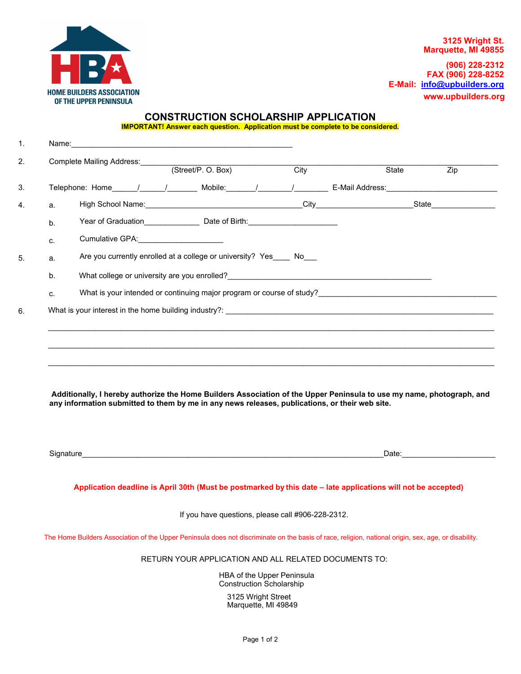

**(906) 228-2312 FAX (906) 228-8252 E-Mail: info@upbuilders.org www.upbuilders.org**

## **CONSTRUCTION SCHOLARSHIP APPLICATION**

**IMPORTANT! Answer each question. Application must be complete to be considered.** 

|          | Complete Mailing Address: (Street/P. O. Box) City                                                                                                                                                                                   |                                                                                  |                                                               |  | State | Zip |
|----------|-------------------------------------------------------------------------------------------------------------------------------------------------------------------------------------------------------------------------------------|----------------------------------------------------------------------------------|---------------------------------------------------------------|--|-------|-----|
|          | Telephone: Home______/_______/_________Mobile:_______/_________________E-Mail Address:________________________                                                                                                                      |                                                                                  |                                                               |  |       |     |
| a.       |                                                                                                                                                                                                                                     |                                                                                  |                                                               |  |       |     |
| b.<br>c. |                                                                                                                                                                                                                                     | Year of Graduation___________________________ Date of Birth:____________________ |                                                               |  |       |     |
|          |                                                                                                                                                                                                                                     | Cumulative GPA: ______________________                                           |                                                               |  |       |     |
| a.       |                                                                                                                                                                                                                                     | Are you currently enrolled at a college or university? Yes No                    |                                                               |  |       |     |
| b.       |                                                                                                                                                                                                                                     |                                                                                  |                                                               |  |       |     |
| c.       |                                                                                                                                                                                                                                     |                                                                                  |                                                               |  |       |     |
|          |                                                                                                                                                                                                                                     |                                                                                  |                                                               |  |       |     |
|          |                                                                                                                                                                                                                                     |                                                                                  |                                                               |  |       |     |
|          | Additionally, I hereby authorize the Home Builders Association of the Upper Peninsula to use my name, photograph, and<br>any information submitted to them by me in any news releases, publications, or their web site.             |                                                                                  |                                                               |  |       |     |
|          |                                                                                                                                                                                                                                     |                                                                                  |                                                               |  |       |     |
|          | Signature <b>State Community Control</b> Control Community Control Community Control Community Community Community Community Community Community Community Community Community Community Community Community Community Community Co |                                                                                  |                                                               |  |       |     |
|          | Application deadline is April 30th (Must be postmarked by this date - late applications will not be accepted)                                                                                                                       |                                                                                  |                                                               |  |       |     |
|          |                                                                                                                                                                                                                                     |                                                                                  | If you have questions, please call #906-228-2312.             |  |       |     |
|          | The Home Builders Association of the Upper Peninsula does not discriminate on the basis of race, religion, national origin, sex, age, or disability.                                                                                |                                                                                  |                                                               |  |       |     |
|          |                                                                                                                                                                                                                                     | RETURN YOUR APPLICATION AND ALL RELATED DOCUMENTS TO:                            |                                                               |  |       |     |
|          |                                                                                                                                                                                                                                     |                                                                                  | HBA of the Upper Peninsula<br><b>Construction Scholarship</b> |  |       |     |
|          |                                                                                                                                                                                                                                     |                                                                                  | 3125 Wright Street<br>Marquette, MI 49849                     |  |       |     |